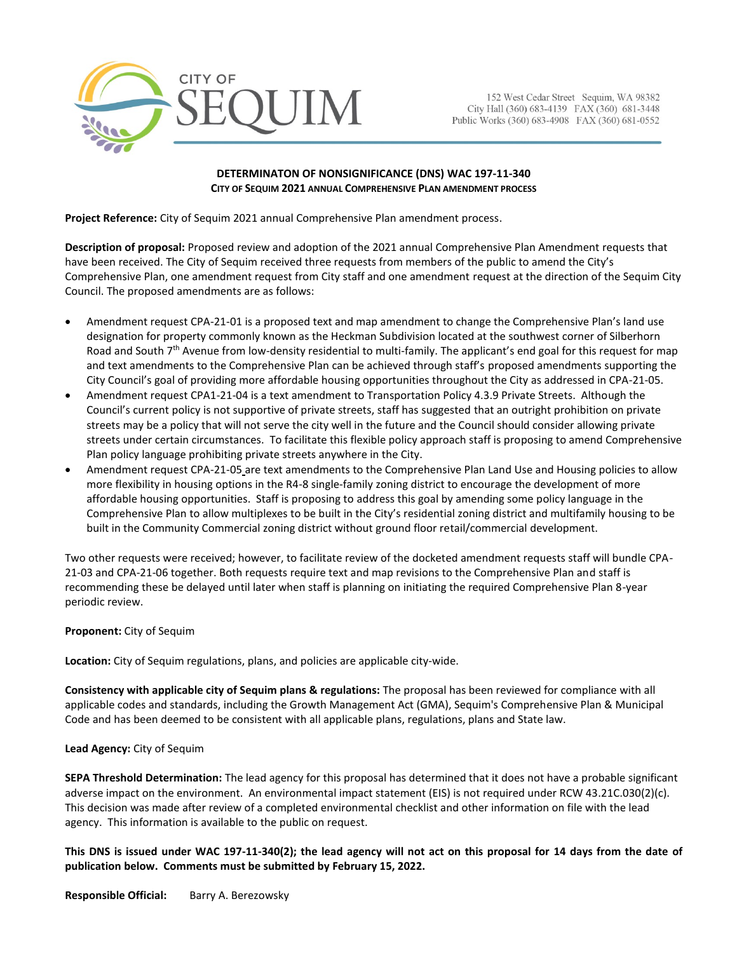

152 West Cedar Street Sequim, WA 98382 City Hall (360) 683-4139 FAX (360) 681-3448 Public Works (360) 683-4908 FAX (360) 681-0552

## **DETERMINATON OF NONSIGNIFICANCE (DNS) WAC 197-11-340 CITY OF SEQUIM 2021 ANNUAL COMPREHENSIVE PLAN AMENDMENT PROCESS**

**Project Reference:** City of Sequim 2021 annual Comprehensive Plan amendment process.

**Description of proposal:** Proposed review and adoption of the 2021 annual Comprehensive Plan Amendment requests that have been received. The City of Sequim received three requests from members of the public to amend the City's Comprehensive Plan, one amendment request from City staff and one amendment request at the direction of the Sequim City Council. The proposed amendments are as follows:

- Amendment request CPA-21-01 is a proposed text and map amendment to change the Comprehensive Plan's land use designation for property commonly known as the Heckman Subdivision located at the southwest corner of Silberhorn Road and South 7th Avenue from low-density residential to multi-family. The applicant's end goal for this request for map and text amendments to the Comprehensive Plan can be achieved through staff's proposed amendments supporting the City Council's goal of providing more affordable housing opportunities throughout the City as addressed in CPA-21-05.
- Amendment request CPA1-21-04 is a text amendment to Transportation Policy 4.3.9 Private Streets. Although the Council's current policy is not supportive of private streets, staff has suggested that an outright prohibition on private streets may be a policy that will not serve the city well in the future and the Council should consider allowing private streets under certain circumstances. To facilitate this flexible policy approach staff is proposing to amend Comprehensive Plan policy language prohibiting private streets anywhere in the City.
- Amendment request CPA-21-05 are text amendments to the Comprehensive Plan Land Use and Housing policies to allow more flexibility in housing options in the R4-8 single-family zoning district to encourage the development of more affordable housing opportunities. Staff is proposing to address this goal by amending some policy language in the Comprehensive Plan to allow multiplexes to be built in the City's residential zoning district and multifamily housing to be built in the Community Commercial zoning district without ground floor retail/commercial development.

Two other requests were received; however, to facilitate review of the docketed amendment requests staff will bundle CPA-21-03 and CPA-21-06 together. Both requests require text and map revisions to the Comprehensive Plan and staff is recommending these be delayed until later when staff is planning on initiating the required Comprehensive Plan 8-year periodic review.

## **Proponent:** City of Sequim

**Location:** City of Sequim regulations, plans, and policies are applicable city-wide.

**Consistency with applicable city of Sequim plans & regulations:** The proposal has been reviewed for compliance with all applicable codes and standards, including the Growth Management Act (GMA), Sequim's Comprehensive Plan & Municipal Code and has been deemed to be consistent with all applicable plans, regulations, plans and State law.

## **Lead Agency:** City of Sequim

**SEPA Threshold Determination:** The lead agency for this proposal has determined that it does not have a probable significant adverse impact on the environment. An environmental impact statement (EIS) is not required under RCW 43.21C.030(2)(c). This decision was made after review of a completed environmental checklist and other information on file with the lead agency. This information is available to the public on request.

**This DNS is issued under WAC 197-11-340(2); the lead agency will not act on this proposal for 14 days from the date of publication below. Comments must be submitted by February 15, 2022.**